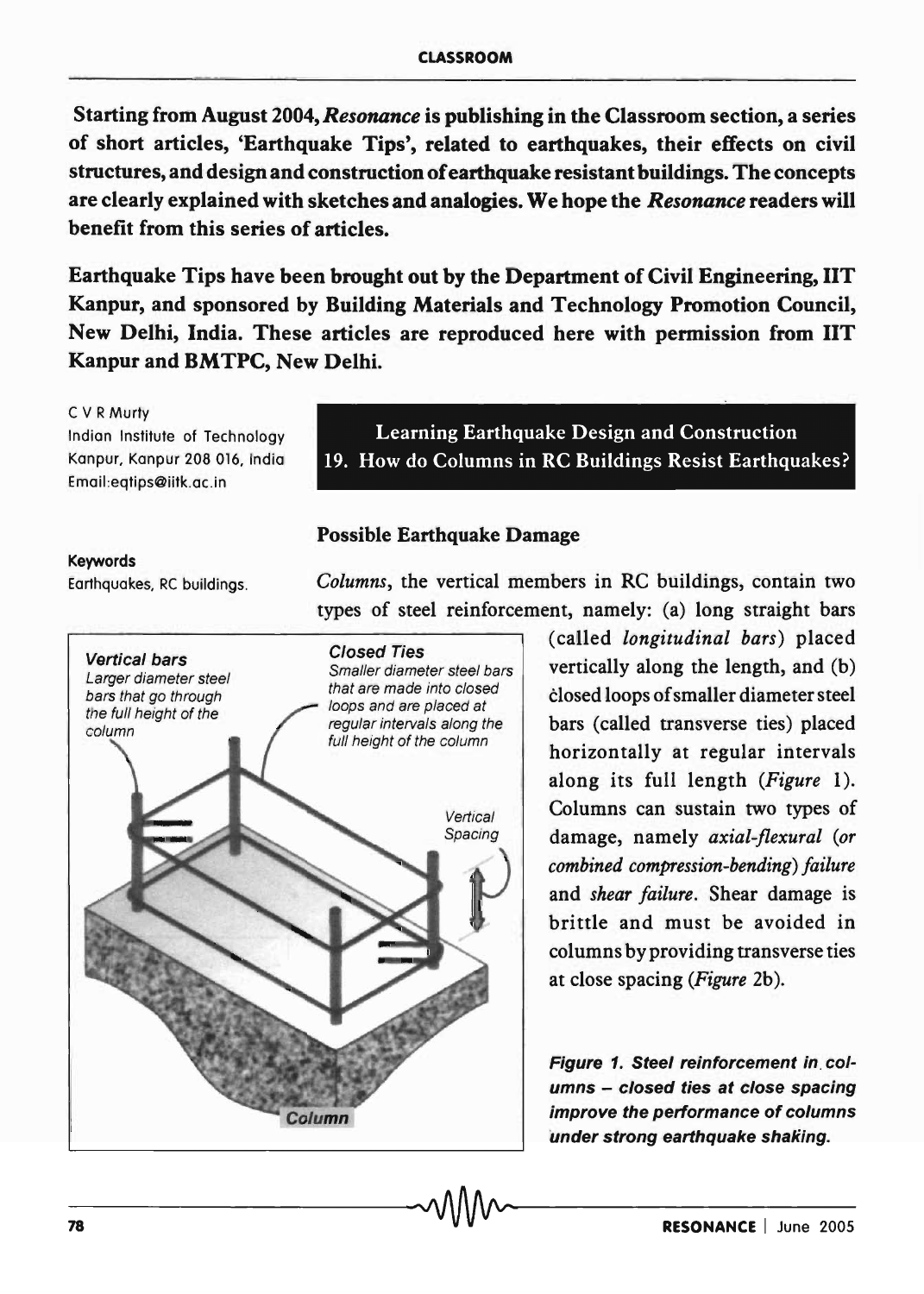Starting from August 2004, *Resonance* is publishing in the Classroom section, a series of short articles, 'Earthquake Tips', related to earthquakes, their effects on civil structures, and design and construction of earthquake resistant buildings. The concepts are clearly explained with sketches and analogies. We hope the *Resonance* readers will benefit from this series of articles.

Earthquake Tips have been brought out by the Department of Civil Engineering, lIT Kanpur, and sponsored by Building Materials and Technology Promotion Council, New Delhi, India. These articles are reproduced here with permission from lIT Kanpur and BMTPC, New Delhi.

C V R Murty Indian Institute of Technology Kanpur, Kanpur 208 016, India Email:eqtips@iitk.ac .in

#### Keywords

Earthquakes, RC buildings.



Learning Earthquake Design and Construction 19. How do Columns in RC Buildings Resist Earthquakes?

## Possible Earthquake Damage

*Columns,* the vertical members in RC buildings, contain two types of steel reinforcement, namely: (a) long straight bars

> (called *longitudinal bars)* placed vertically along the length, and (b) closed loops of smaller diameter steel bars (called transverse ties) placed horizontally at regular intervals along its full length *(Figure* 1). Columns can sustain two types of damage, namely *axial-flexural (or combined compression-bending) failure*  and *shear failure.* Shear damage is brittle and must be avoided in columns by providing transverse ties at close spacing *(Figure* 2b).

> Figure 1. Steel reinforcement in. columns - closed ties at close spacing improve the performance of columns under strong earthquake shaking.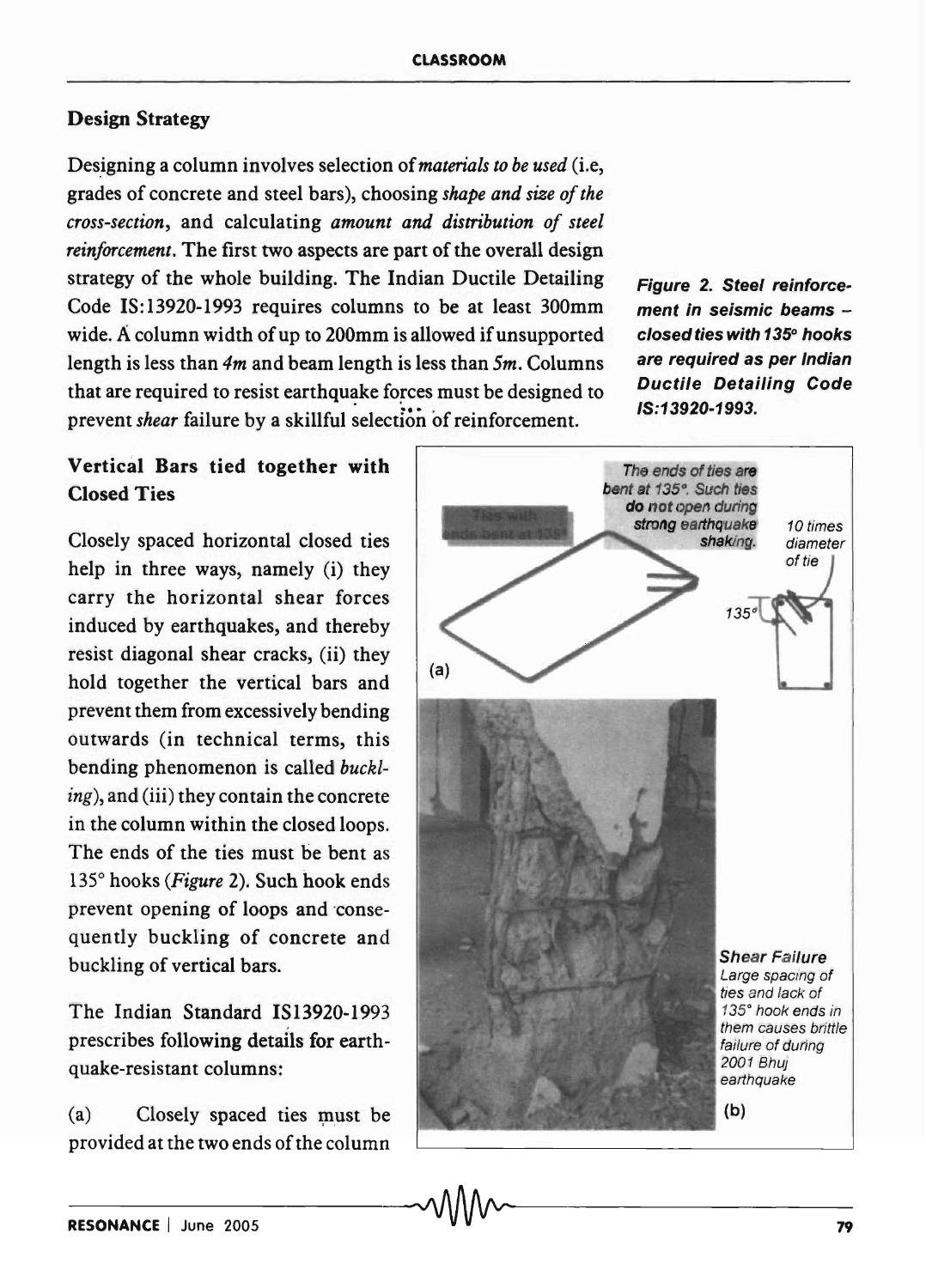# Design Strategy

Designing a column involves selection of *materials to be used* (i.e, grades of concrete and steel bars), choosing *shape and size of the cross-section,* and calculating *amount and distribution of steel reinforcement.* The first two aspects are part of the overall design strategy of the whole building. The Indian Ductile Detailing Code IS:13920-1993 requires columns to be at least 300mm wide. A column width of up to 200mm is allowed if unsupported length is less than *4m* and beam length is less than *Sm.* Columns that are required to resist earthquake forces must be designed to prevent *shear* failure by a skillful selection of reinforcement.

Vertical Bars tied together with Closed Ties

Closely spaced horizontal closed ties help in three ways, namely (i) they carry the horizontal shear forces induced by earthquakes, and thereby resist diagonal shear cracks, (ii) they hold together the vertical bars and prevent them from excessively bending outwards (in technical terms, this bending phenomenon is called *buckling),* and (iii) they contain the concrete in the column within the closed loops. The ends of the ties must be bent as 1350 hooks *(Figure* 2). Such hook ends prevent opening of loops and 'consequently buckling of concrete and buckling of vertical bars.

The Indian Standard IS13920-1993 prescribes following details for earthquake-resistant columns:

(a) Closely spaced ties must be provided at the two ends of the column



Figure 2. Steel reinforcement in seismic beams closed ties with 135*0* hooks are required as per Indian Ductile Detailing Code

15:13920-1993.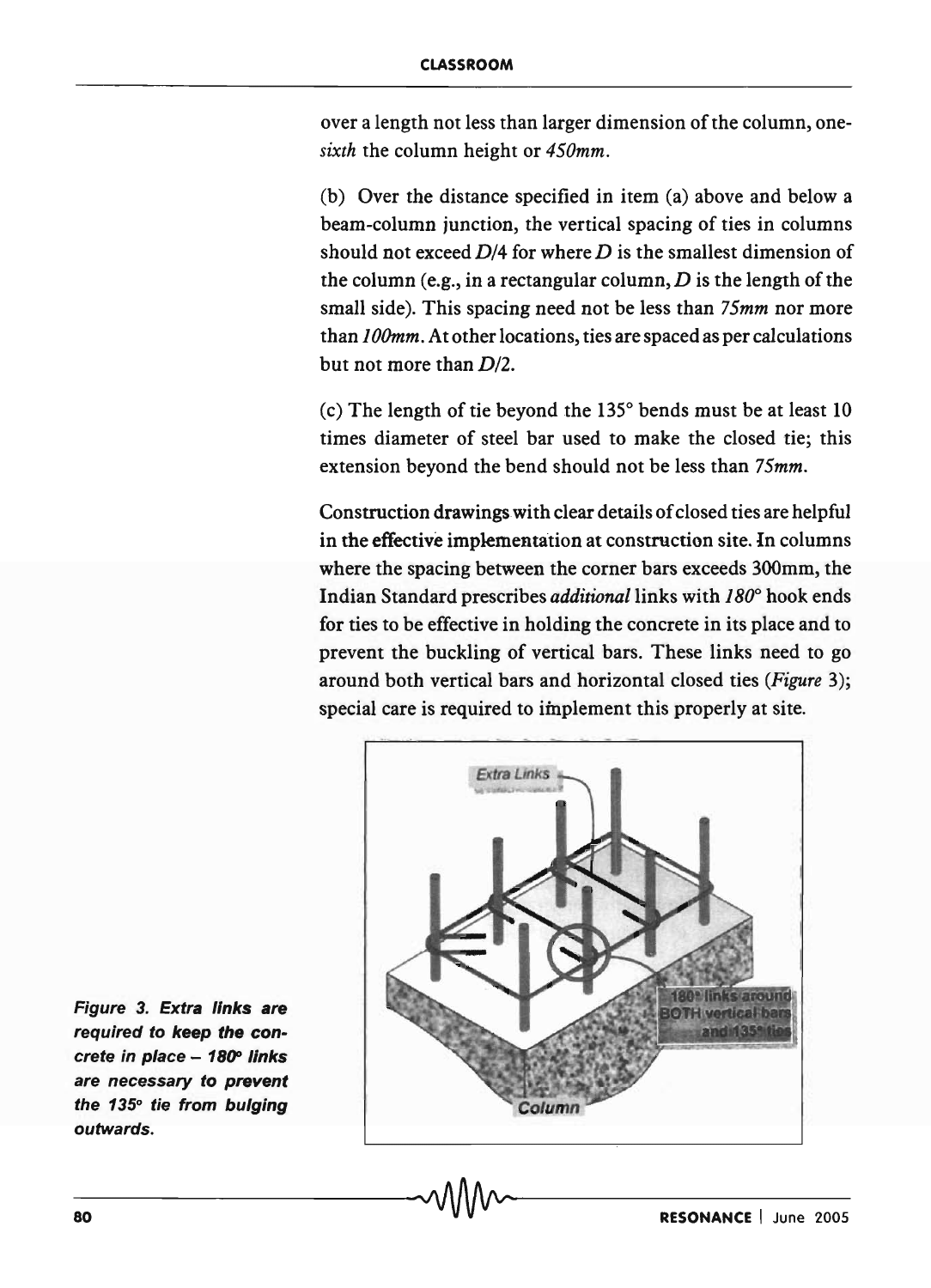over a length not less than larger dimension of the column, one*sixth* the column height or *450mm.* 

(b) Over the distance specified in item (a) above and below a beam-column junction, the vertical spacing of ties in columns should not exceed  $D/4$  for where D is the smallest dimension of the column (e.g., in a rectangular column,  $D$  is the length of the small side). This spacing need not be less than *75mm* nor more than *10Omm.* At other locations, ties are spaced as per calculations but not more than *D12.* 

(c) The length of tie beyond the  $135^\circ$  bends must be at least 10 times diameter of steel bar used to make the closed tie; this extension beyond the bend should not be less than *75mm.* 

Construction drawings with clear details of closed ties are helpful in the effective implementation at construction site. In columns where the spacing between the corner bars exceeds 300mm, the Indian Standard prescribes *additional* links with  $180^\circ$  hook ends for ties to be effective in holding the concrete in its place and to prevent the buckling of vertical bars. These links need to go around both vertical bars and horizontal closed ties *(Figure 3);*  special care is required to implement this properly at site.



Figure 3. Extra links are required to keep the concrete in place  $-180^\circ$  links are necessary to prevent the  $135^\circ$  tie from bulging outwards.